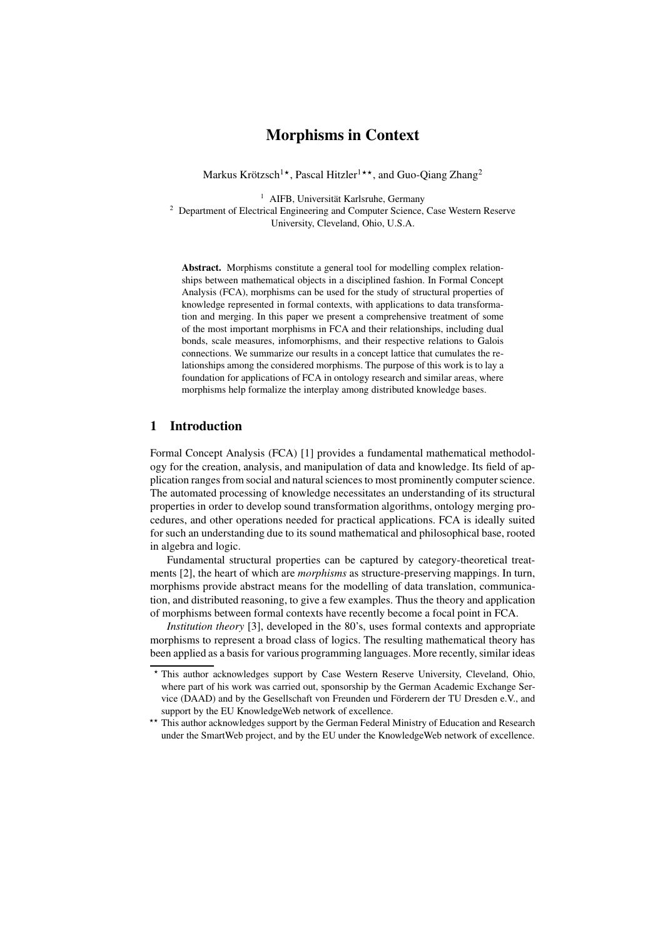# **Morphisms in Context**

Markus Krötzsch<sup>1</sup>\*, Pascal Hitzler<sup>1</sup>\*\*, and Guo-Qiang Zhang<sup>2</sup>

<sup>1</sup> AIFB, Universität Karlsruhe, Germany

<sup>2</sup> Department of Electrical Engineering and Computer Science, Case Western Reserve University, Cleveland, Ohio, U.S.A.

**Abstract.** Morphisms constitute a general tool for modelling complex relationships between mathematical objects in a disciplined fashion. In Formal Concept Analysis (FCA), morphisms can be used for the study of structural properties of knowledge represented in formal contexts, with applications to data transformation and merging. In this paper we present a comprehensive treatment of some of the most important morphisms in FCA and their relationships, including dual bonds, scale measures, infomorphisms, and their respective relations to Galois connections. We summarize our results in a concept lattice that cumulates the relationships among the considered morphisms. The purpose of this work is to lay a foundation for applications of FCA in ontology research and similar areas, where morphisms help formalize the interplay among distributed knowledge bases.

## **1 Introduction**

Formal Concept Analysis (FCA) [1] provides a fundamental mathematical methodology for the creation, analysis, and manipulation of data and knowledge. Its field of application ranges from social and natural sciences to most prominently computer science. The automated processing of knowledge necessitates an understanding of its structural properties in order to develop sound transformation algorithms, ontology merging procedures, and other operations needed for practical applications. FCA is ideally suited for such an understanding due to its sound mathematical and philosophical base, rooted in algebra and logic.

Fundamental structural properties can be captured by category-theoretical treatments [2], the heart of which are *morphisms* as structure-preserving mappings. In turn, morphisms provide abstract means for the modelling of data translation, communication, and distributed reasoning, to give a few examples. Thus the theory and application of morphisms between formal contexts have recently become a focal point in FCA.

*Institution theory* [3], developed in the 80's, uses formal contexts and appropriate morphisms to represent a broad class of logics. The resulting mathematical theory has been applied as a basis for various programming languages. More recently, similar ideas

<sup>?</sup> This author acknowledges support by Case Western Reserve University, Cleveland, Ohio, where part of his work was carried out, sponsorship by the German Academic Exchange Service (DAAD) and by the Gesellschaft von Freunden und Förderern der TU Dresden e.V., and support by the EU KnowledgeWeb network of excellence.

<sup>\*\*</sup> This author acknowledges support by the German Federal Ministry of Education and Research under the SmartWeb project, and by the EU under the KnowledgeWeb network of excellence.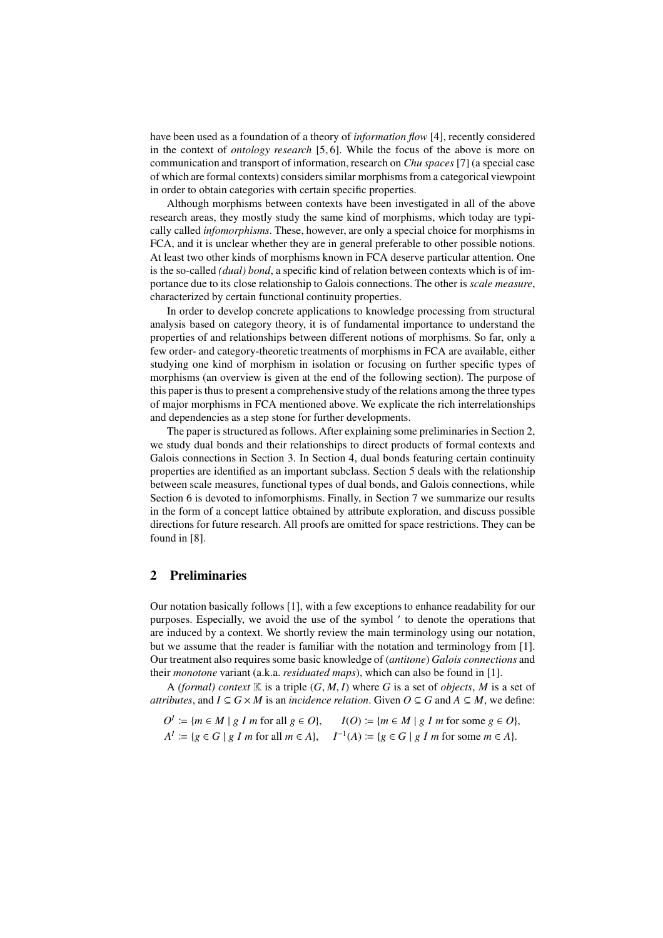have been used as a foundation of a theory of *information flow* [4], recently considered in the context of *ontology research* [5, 6]. While the focus of the above is more on communication and transport of information, research on *Chu spaces* [7] (a special case of which are formal contexts) considers similar morphisms from a categorical viewpoint in order to obtain categories with certain specific properties.

Although morphisms between contexts have been investigated in all of the above research areas, they mostly study the same kind of morphisms, which today are typically called *infomorphisms*. These, however, are only a special choice for morphisms in FCA, and it is unclear whether they are in general preferable to other possible notions. At least two other kinds of morphisms known in FCA deserve particular attention. One is the so-called *(dual) bond*, a specific kind of relation between contexts which is of importance due to its close relationship to Galois connections. The other is *scale measure*, characterized by certain functional continuity properties.

In order to develop concrete applications to knowledge processing from structural analysis based on category theory, it is of fundamental importance to understand the properties of and relationships between different notions of morphisms. So far, only a few order- and category-theoretic treatments of morphisms in FCA are available, either studying one kind of morphism in isolation or focusing on further specific types of morphisms (an overview is given at the end of the following section). The purpose of this paper is thus to present a comprehensive study of the relations among the three types of major morphisms in FCA mentioned above. We explicate the rich interrelationships and dependencies as a step stone for further developments.

The paper is structured as follows. After explaining some preliminaries in Section 2, we study dual bonds and their relationships to direct products of formal contexts and Galois connections in Section 3. In Section 4, dual bonds featuring certain continuity properties are identified as an important subclass. Section 5 deals with the relationship between scale measures, functional types of dual bonds, and Galois connections, while Section 6 is devoted to infomorphisms. Finally, in Section 7 we summarize our results in the form of a concept lattice obtained by attribute exploration, and discuss possible directions for future research. All proofs are omitted for space restrictions. They can be found in [8].

#### **2 Preliminaries**

Our notation basically follows [1], with a few exceptions to enhance readability for our purposes. Especially, we avoid the use of the symbol ' to denote the operations that are induced by a context. We shortly review the main terminology using our notation, but we assume that the reader is familiar with the notation and terminology from [1]. Our treatment also requires some basic knowledge of (*antitone*) *Galois connections* and their *monotone* variant (a.k.a. *residuated maps*), which can also be found in [1].

A *(formal) context*  $\mathbb{K}$  is a triple  $(G, M, I)$  where G is a set of *objects*, M is a set of *attributes*, and  $I \subseteq G \times M$  is an *incidence relation*. Given  $O \subseteq G$  and  $A \subseteq M$ , we define:

$$
O^I := \{ m \in M \mid g \text{ } I \text{ } m \text{ for all } g \in O \}, \qquad I(O) := \{ m \in M \mid g \text{ } I \text{ } m \text{ for some } g \in O \},
$$
  

$$
A^I := \{ g \in G \mid g \text{ } I \text{ } m \text{ for all } m \in A \}, \qquad I^{-1}(A) := \{ g \in G \mid g \text{ } I \text{ } m \text{ for some } m \in A \}.
$$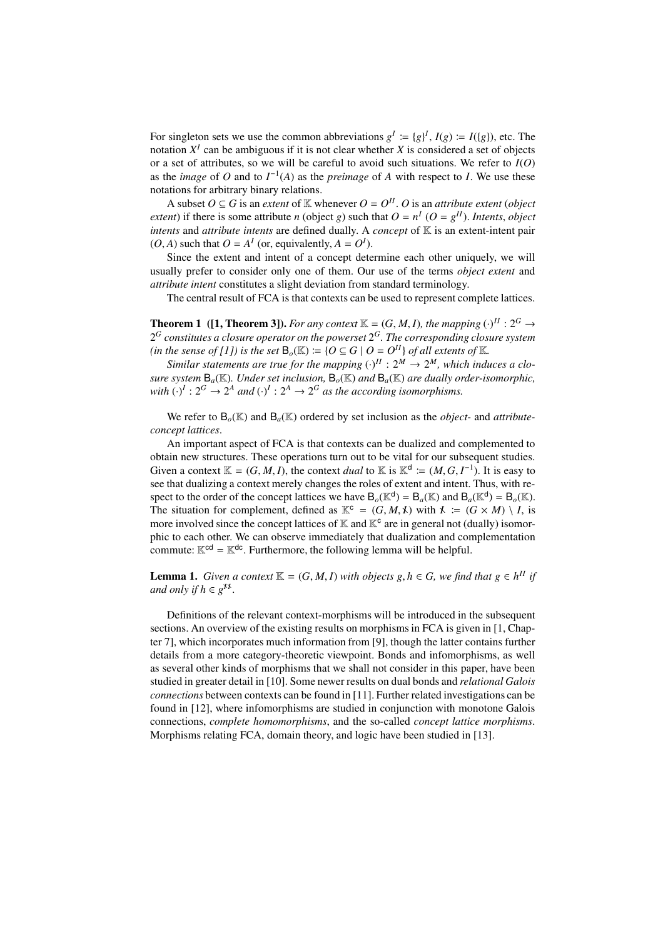For singleton sets we use the common abbreviations  $g^I := \{g\}^I$ ,  $I(g) := I(\{g\})$ , etc. The notation  $X<sup>I</sup>$  can be ambiguous if it is not clear whether *X* is considered a set of objects or a set of attributes, so we will be careful to avoid such situations. We refer to *I*(*O*) as the *image* of *O* and to  $I^{-1}(A)$  as the *preimage* of *A* with respect to *I*. We use these notations for arbitrary binary relations.

A subset  $O \subseteq G$  is an *extent* of  $K$  whenever  $O = O^{II}$ . *O* is an *attribute extent* (*object extent*) if there is some attribute *n* (object *g*) such that  $O = n^I$  ( $O = g^{II}$ ). *Intents*, *object intents* and *attribute intents* are defined dually. A *concept* of K is an extent-intent pair  $(O, A)$  such that  $O = A<sup>I</sup>$  (or, equivalently,  $A = O<sup>I</sup>$ ).

Since the extent and intent of a concept determine each other uniquely, we will usually prefer to consider only one of them. Our use of the terms *object extent* and *attribute intent* constitutes a slight deviation from standard terminology.

The central result of FCA is that contexts can be used to represent complete lattices.

**Theorem 1** ([1, **Theorem 3**]). For any context  $\mathbb{K} = (G, M, I)$ , the mapping  $(\cdot)^{II} : 2^G \rightarrow$ 2 *<sup>G</sup> constitutes a closure operator on the powerset* 2 *<sup>G</sup>. The corresponding closure system (in the sense of* [1]) *is the set*  $B_o(\mathbb{K}) \coloneqq \{O \subseteq G \mid O = O^{\Pi}\}\$  *of all extents of*  $\mathbb{K}$ *.* 

*Similar statements are true for the mapping*  $(\cdot)^{II}: 2^M \to 2^M$ , which induces a clo*sure system*  $B_a(K)$ *. Under set inclusion*,  $B_o(K)$  *and*  $B_a(K)$  *are dually order-isomorphic*, *with*  $(\cdot)^I : 2^G \to 2^A$  *and*  $(\cdot)^I : 2^A \to 2^G$  *as the according isomorphisms.* 

We refer to  $B_o(\mathbb{K})$  and  $B_a(\mathbb{K})$  ordered by set inclusion as the *object*- and *attributeconcept lattices*.

An important aspect of FCA is that contexts can be dualized and complemented to obtain new structures. These operations turn out to be vital for our subsequent studies. Given a context  $\mathbb{K} = (G, M, I)$ , the context *dual* to  $\mathbb{K}$  is  $\mathbb{K}^d := (M, G, I^{-1})$ . It is easy to see that dualizing a context merely changes the roles of extent and intent. Thus, with respect to the order of the concept lattices we have  $B_o(\mathbb{K}^d) = B_a(\mathbb{K})$  and  $B_a(\mathbb{K}^d) = B_o(\mathbb{K})$ . The situation for complement, defined as  $\mathbb{K}^c = (G, M, X)$  with  $X := (G \times M) \setminus I$ , is more involved since the concept lattices of  $K$  and  $K^c$  are in general not (dually) isomorphic to each other. We can observe immediately that dualization and complementation commute:  $\mathbb{K}^{cd} = \mathbb{K}^{dc}$ . Furthermore, the following lemma will be helpful.

**Lemma 1.** Given a context  $\mathbb{K} = (G, M, I)$  with objects  $g, h \in G$ , we find that  $g \in h^H$  if *and only if*  $h \in g^{\mathcal{Y} \mathcal{Y}}$ .

Definitions of the relevant context-morphisms will be introduced in the subsequent sections. An overview of the existing results on morphisms in FCA is given in [1, Chapter 7], which incorporates much information from [9], though the latter contains further details from a more category-theoretic viewpoint. Bonds and infomorphisms, as well as several other kinds of morphisms that we shall not consider in this paper, have been studied in greater detail in [10]. Some newer results on dual bonds and *relational Galois connections* between contexts can be found in [11]. Further related investigations can be found in [12], where infomorphisms are studied in conjunction with monotone Galois connections, *complete homomorphisms*, and the so-called *concept lattice morphisms*. Morphisms relating FCA, domain theory, and logic have been studied in [13].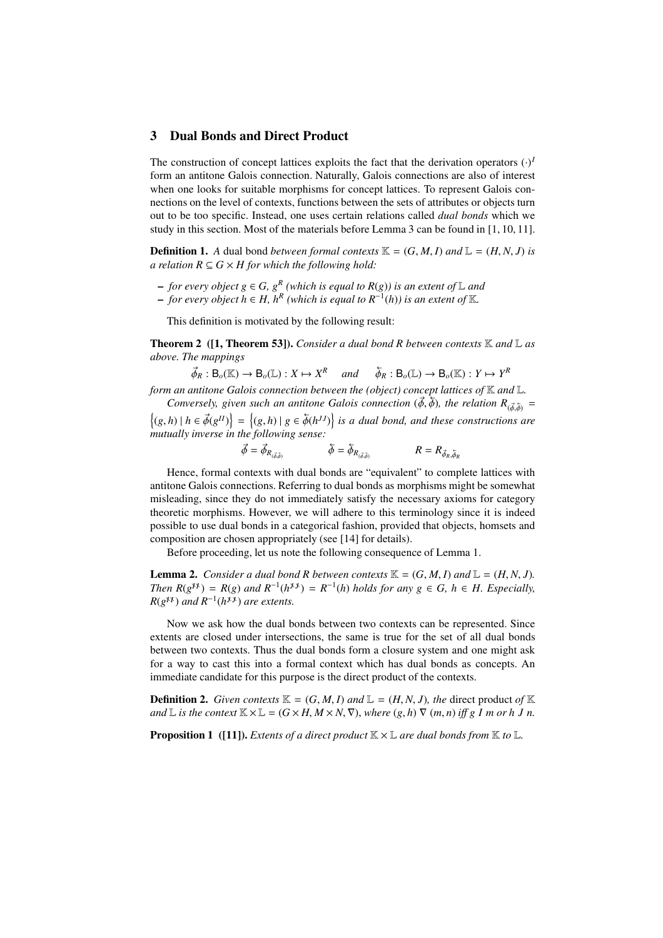## **3 Dual Bonds and Direct Product**

The construction of concept lattices exploits the fact that the derivation operators  $(·)^{1}$ form an antitone Galois connection. Naturally, Galois connections are also of interest when one looks for suitable morphisms for concept lattices. To represent Galois connections on the level of contexts, functions between the sets of attributes or objects turn out to be too specific. Instead, one uses certain relations called *dual bonds* which we study in this section. Most of the materials before Lemma 3 can be found in [1, 10, 11].

**Definition 1.** *A* dual bond *between formal contexts*  $K = (G, M, I)$  *and*  $L = (H, N, J)$  *is a relation*  $R ⊆ G × H$  *for which the following hold:* 

- $\sim$  *for every object*  $g \in G$ ,  $g^R$  (which is equal to  $R(g)$ ) is an extent of  $\mathbb{L}$  and
- $\blacktriangle$  *for every object*  $h \in H$ *,*  $h^R$  (which is equal to  $R^{-1}(h)$ ) is an extent of K*.*

This definition is motivated by the following result:

**Theorem 2 ([1, Theorem 53]).** *Consider a dual bond R between contexts* K *and* L *as above. The mappings*

 $\vec{\phi}_R : B_o(\mathbb{K}) \to B_o(\mathbb{L}) : X \mapsto X^R \quad \text{and} \quad \vec{\phi}_R : B_o(\mathbb{L}) \to B_o(\mathbb{K}) : Y \mapsto Y^R$ 

*form an antitone Galois connection between the (object) concept lattices of* K *and* L*. Conversely, given such an antitone Galois connection* ( $\vec{\phi}$ ,  $\vec{\phi}$ ), the relation  $R_{(\vec{\phi} \cdot \vec{\phi})}$  =

 $\{(g,h) \mid h \in \vec{\phi}(g^{\text{II}})\} = \{(g,h) \mid g \in \vec{\phi}(h^{\text{IJ}})\}$  is a dual bond, and these constructions are *mutually inverse in the following sense:*

$$
\vec{\phi} = \vec{\phi}_{R_{(\vec{\phi},\vec{\phi})}}
$$
\n
$$
\vec{\phi} = \vec{\phi}_{R_{(\vec{\phi},\vec{\phi})}}
$$
\n
$$
R = R_{\vec{\phi}_R,\vec{\phi}_R}
$$

Hence, formal contexts with dual bonds are "equivalent" to complete lattices with antitone Galois connections. Referring to dual bonds as morphisms might be somewhat misleading, since they do not immediately satisfy the necessary axioms for category theoretic morphisms. However, we will adhere to this terminology since it is indeed possible to use dual bonds in a categorical fashion, provided that objects, homsets and composition are chosen appropriately (see [14] for details).

Before proceeding, let us note the following consequence of Lemma 1.

**Lemma 2.** *Consider a dual bond R between contexts*  $K = (G, M, I)$  *and*  $L = (H, N, J)$ . Then  $R(g^{N}) = R(g)$  and  $R^{-1}(h^{N}) = R^{-1}(h)$  holds for any  $g \in G$ ,  $h \in H$ . Especially,  $R(g^{3/2})$  *and*  $R^{-1}(h^{3/2})$  *are extents.* 

Now we ask how the dual bonds between two contexts can be represented. Since extents are closed under intersections, the same is true for the set of all dual bonds between two contexts. Thus the dual bonds form a closure system and one might ask for a way to cast this into a formal context which has dual bonds as concepts. An immediate candidate for this purpose is the direct product of the contexts.

**Definition 2.** *Given contexts*  $\mathbb{K} = (G, M, I)$  *and*  $\mathbb{L} = (H, N, J)$ *, the direct product of*  $\mathbb{K}$ and L is the context  $\mathbb{K} \times \mathbb{L} = (G \times H, M \times N, \nabla)$ , where  $(g, h) \nabla (m, n)$  iff g I m or h J n.

**Proposition 1** ([11]). *Extents of a direct product*  $K \times L$  *are dual bonds from*  $K$  *to*  $L$ *.*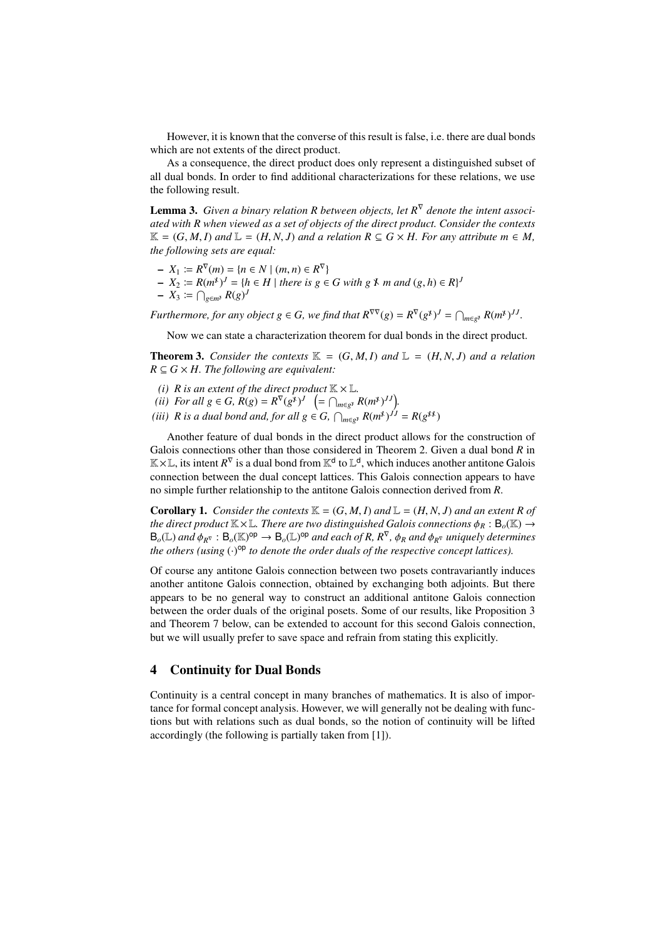However, it is known that the converse of this result is false, i.e. there are dual bonds which are not extents of the direct product.

As a consequence, the direct product does only represent a distinguished subset of all dual bonds. In order to find additional characterizations for these relations, we use the following result.

**Lemma 3.** *Given a binary relation R between objects, let R* <sup>∇</sup> *denote the intent associated with R when viewed as a set of objects of the direct product. Consider the contexts*  $\mathbb{K} = (G, M, I)$  and  $\mathbb{L} = (H, N, J)$  and a relation  $R \subseteq G \times H$ . For any attribute  $m \in M$ , *the following sets are equal:*

$$
- X_1 := R^{\nabla}(m) = \{ n \in N \mid (m, n) \in R^{\nabla} \}
$$

 $\mathbf{A} = X_2 := R(m^{\mathbf{x}})^J = \{h \in H \mid \text{there is } g \in G \text{ with } g \not\geq m \text{ and } (g, h) \in R\}^J$  $- X_3 := \bigcap_{g \in m^k} R(g)^j$ 

Furthermore, for any object  $g \in G$ , we find that  $R^{\nabla \nabla}(g) = R^{\nabla}(g^{\chi})^J = \bigcap_{m \in g^{\chi}} R(m^{\chi})^{JJ}$ .

Now we can state a characterization theorem for dual bonds in the direct product.

**Theorem 3.** *Consider the contexts*  $K = (G, M, I)$  *and*  $L = (H, N, J)$  *and a relation*  $R \subseteq G \times H$ . The following are equivalent:

- *(i) R is an extent of the direct product*  $K \times L$ *.*
- *(ii) For all*  $g \in G$ ,  $R(g) = R^{\nabla}(g^{\hat{x}})^J$   $\left( = \bigcap_{m \in g^{\hat{x}}} R(m^{\hat{x}})^{JJ} \right)$ .
- (iii) R is a dual bond and, for all  $g \in G$ ,  $\bigcap_{m \in g^{\chi}} R(m^{\chi})^{j} = R(g^{\chi \chi})$

Another feature of dual bonds in the direct product allows for the construction of Galois connections other than those considered in Theorem 2. Given a dual bond *R* in  $\mathbb{K}\times\mathbb{L}$ , its intent  $R^{\nabla}$  is a dual bond from  $\mathbb{K}^d$  to  $\mathbb{L}^d$ , which induces another antitone Galois connection between the dual concept lattices. This Galois connection appears to have no simple further relationship to the antitone Galois connection derived from *R*.

**Corollary 1.** *Consider the contexts*  $K = (G, M, I)$  *and*  $L = (H, N, J)$  *and an extent*  $R$  *of the direct product*  $K \times L$ *. There are two distinguished Galois connections*  $\phi_R : B_o(K) \to$  $B_o(\mathbb{L})$  and  $\phi_{R^{\nabla}} : B_o(\mathbb{K})^{\text{op}} \to B_o(\mathbb{L})^{\text{op}}$  and each of R,  $R^{\nabla}$ ,  $\phi_R$  and  $\phi_{R^{\nabla}}$  uniquely determines *the others* (using  $(\cdot)^{op}$  *to denote the order duals of the respective concept lattices*).

Of course any antitone Galois connection between two posets contravariantly induces another antitone Galois connection, obtained by exchanging both adjoints. But there appears to be no general way to construct an additional antitone Galois connection between the order duals of the original posets. Some of our results, like Proposition 3 and Theorem 7 below, can be extended to account for this second Galois connection, but we will usually prefer to save space and refrain from stating this explicitly.

## **4 Continuity for Dual Bonds**

Continuity is a central concept in many branches of mathematics. It is also of importance for formal concept analysis. However, we will generally not be dealing with functions but with relations such as dual bonds, so the notion of continuity will be lifted accordingly (the following is partially taken from [1]).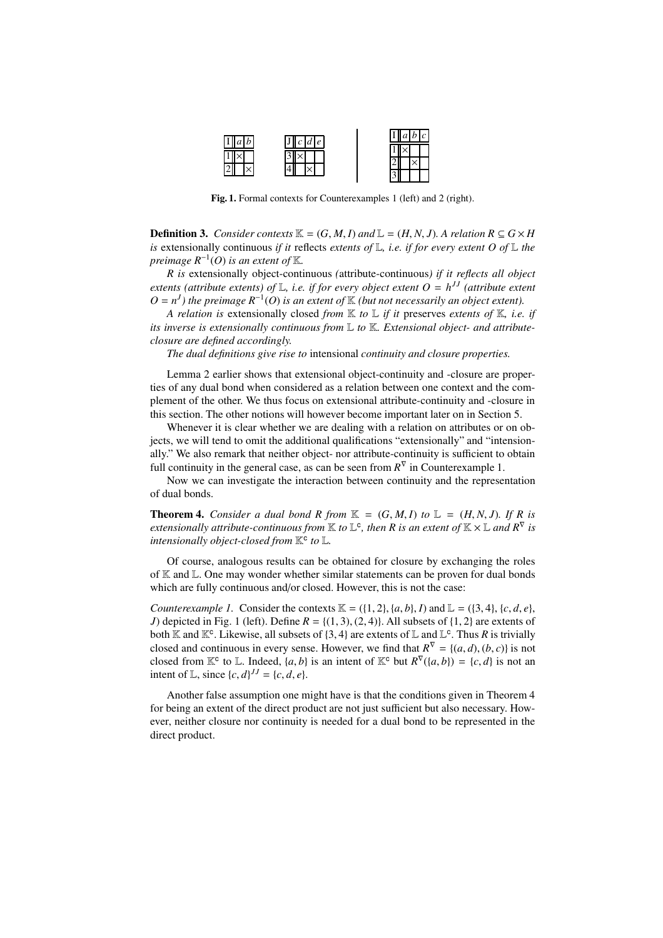

**Fig. 1.** Formal contexts for Counterexamples 1 (left) and 2 (right).

**Definition 3.** *Consider contexts*  $\mathbb{K} = (G, M, I)$  *and*  $\mathbb{L} = (H, N, J)$ *. A relation*  $R \subseteq G \times H$ *is* extensionally continuous *if it* reflects *extents of* L*, i.e. if for every extent O of* L *the preimage*  $R^{-1}(O)$  *is an extent of*  $K$ *.* 

*R is* extensionally object-continuous *(*attribute-continuous*) if it reflects all object extents* (attribute *extents*) of  $\mathbb{L}$ , *i.e. if* for *every* object *extent*  $O = h^{JJ}$  (attribute *extent*  $O = n<sup>J</sup>$  *(b) the preimage*  $R<sup>-1</sup>(O)$  *is an extent of* K *(but not necessarily an object extent).* 

*A relation is* extensionally closed *from* K *to* L *if it* preserves *extents of* K*, i.e. if its inverse is extensionally continuous from* L *to* K*. Extensional object- and attributeclosure are defined accordingly.*

*The dual definitions give rise to* intensional *continuity and closure properties.*

Lemma 2 earlier shows that extensional object-continuity and -closure are properties of any dual bond when considered as a relation between one context and the complement of the other. We thus focus on extensional attribute-continuity and -closure in this section. The other notions will however become important later on in Section 5.

Whenever it is clear whether we are dealing with a relation on attributes or on objects, we will tend to omit the additional qualifications "extensionally" and "intensionally." We also remark that neither object- nor attribute-continuity is sufficient to obtain full continuity in the general case, as can be seen from  $R^{\nabla}$  in Counterexample 1.

Now we can investigate the interaction between continuity and the representation of dual bonds.

**Theorem 4.** *Consider a dual bond*  $R$  *from*  $K = (G, M, I)$  *to*  $L = (H, N, J)$ *. If*  $R$  *is* extensionally attribute-continuous from  $\mathbb K$  to  $\mathbb L^{\mathsf C}$ , then  $R$  is an extent of  $\mathbb K\times\mathbb L$  and  $R^{\nabla}$  is *intensionally object-closed from* K c *to* L*.*

Of course, analogous results can be obtained for closure by exchanging the roles of  $K$  and  $L$ . One may wonder whether similar statements can be proven for dual bonds which are fully continuous and/or closed. However, this is not the case:

*Counterexample 1.* Consider the contexts  $\mathbb{K} = (\{1, 2\}, \{a, b\}, I)$  and  $\mathbb{L} = (\{3, 4\}, \{c, d, e\}, I)$ *J*) depicted in Fig. 1 (left). Define  $R = \{(1, 3), (2, 4)\}$ . All subsets of  $\{1, 2\}$  are extents of both  $\mathbb K$  and  $\mathbb K^c$ . Likewise, all subsets of {3, 4} are extents of  $\mathbb L$  and  $\mathbb L^c$ . Thus R is trivially closed and continuous in every sense. However, we find that  $R^{\nabla} = \{(a, d), (b, c)\}\$ is not closed from  $\mathbb{K}^c$  to L. Indeed,  $\{a, b\}$  is an intent of  $\mathbb{K}^c$  but  $R^{\nabla}(\{a, b\}) = \{c, d\}$  is not an intent of  $\mathbb{L}$ , since  $\{c, d\}^{JJ} = \{c, d, e\}.$ 

Another false assumption one might have is that the conditions given in Theorem 4 for being an extent of the direct product are not just sufficient but also necessary. However, neither closure nor continuity is needed for a dual bond to be represented in the direct product.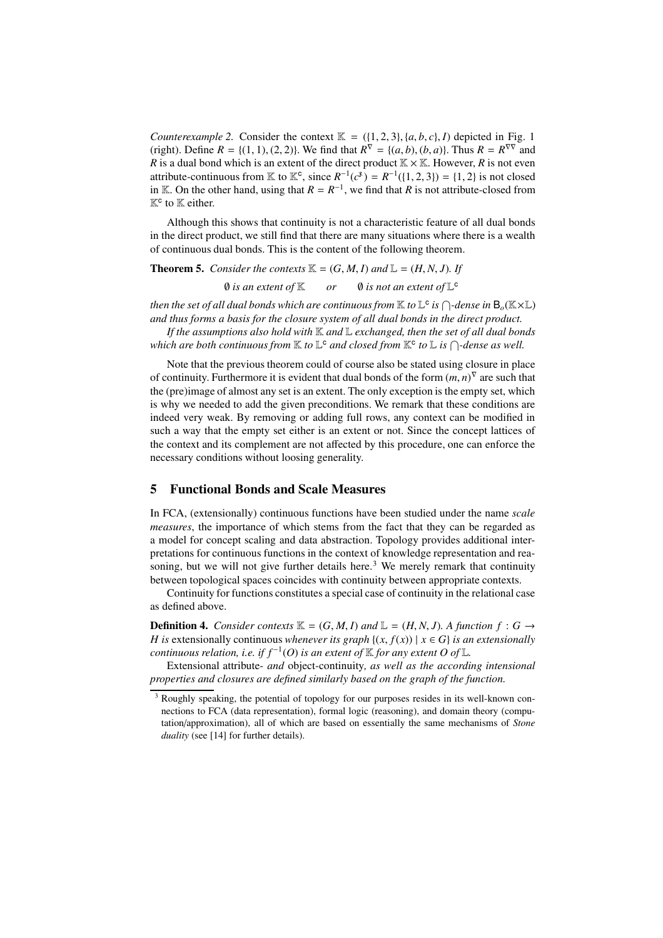*Counterexample* 2. Consider the context  $\mathbb{K} = (\{1, 2, 3\}, \{a, b, c\}, I)$  depicted in Fig. 1 (right). Define  $R = \{(1, 1), (2, 2)\}\)$ . We find that  $R^{\nabla} = \{(a, b), (b, a)\}\)$ . Thus  $R = R^{\nabla \nabla}$  and *R* is a dual bond which is an extent of the direct product  $K \times K$ . However, *R* is not even attribute-continuous from K to  $\mathbb{K}^c$ , since  $R^{-1}(c^{\chi}) = R^{-1}(\{1, 2, 3\}) = \{1, 2\}$  is not closed in K. On the other hand, using that  $R = R^{-1}$ , we find that *R* is not attribute-closed from  $K^c$  to  $K$  either.

Although this shows that continuity is not a characteristic feature of all dual bonds in the direct product, we still find that there are many situations where there is a wealth of continuous dual bonds. This is the content of the following theorem.

**Theorem 5.** *Consider the contexts*  $K = (G, M, I)$  *and*  $L = (H, N, J)$ *. If* 

 $\emptyset$  *is an extent of*  $\mathbb K$  *or*  $\emptyset$  *is not an extent of*  $\mathbb L^{\mathsf{c}}$ 

then the set of all dual bonds which are continuous from  $\mathbb K$  to  $\mathbb L^{\mathsf{c}}$  is  $\bigcap$ -dense in  $\mathsf{B}_o(\mathbb K\times\mathbb L)$ *and thus forms a basis for the closure system of all dual bonds in the direct product.*

*If the assumptions also hold with* K *and* L *exchanged, then the set of all dual bonds* which are both continuous from  $\mathbb K$  to  $\mathbb L^{\mathsf{c}}$  and closed from  $\mathbb K^{\mathsf{c}}$  to  $\mathbb L$  is  $\bigcap$ -dense as well.

Note that the previous theorem could of course also be stated using closure in place of continuity. Furthermore it is evident that dual bonds of the form  $(m, n)^\nabla$  are such that the (pre)image of almost any set is an extent. The only exception is the empty set, which is why we needed to add the given preconditions. We remark that these conditions are indeed very weak. By removing or adding full rows, any context can be modified in such a way that the empty set either is an extent or not. Since the concept lattices of the context and its complement are not affected by this procedure, one can enforce the necessary conditions without loosing generality.

#### **5 Functional Bonds and Scale Measures**

In FCA, (extensionally) continuous functions have been studied under the name *scale measures*, the importance of which stems from the fact that they can be regarded as a model for concept scaling and data abstraction. Topology provides additional interpretations for continuous functions in the context of knowledge representation and reasoning, but we will not give further details here.<sup>3</sup> We merely remark that continuity between topological spaces coincides with continuity between appropriate contexts.

Continuity for functions constitutes a special case of continuity in the relational case as defined above.

**Definition 4.** *Consider contexts*  $\mathbb{K} = (G, M, I)$  *and*  $\mathbb{L} = (H, N, J)$ *. A function*  $f : G \rightarrow$ *H* is extensionally continuous *whenever its graph*  $\{(x, f(x)) | x \in G\}$  *is an extensionally continuous relation, i.e. if*  $f^{-1}(O)$  *is an extent of*  $K$  *for any extent*  $O$  *of*  $L$ *.* 

Extensional attribute- *and* object-continuity*, as well as the according intensional properties and closures are defined similarly based on the graph of the function.*

<sup>3</sup> Roughly speaking, the potential of topology for our purposes resides in its well-known connections to FCA (data representation), formal logic (reasoning), and domain theory (computation/approximation), all of which are based on essentially the same mechanisms of *Stone duality* (see [14] for further details).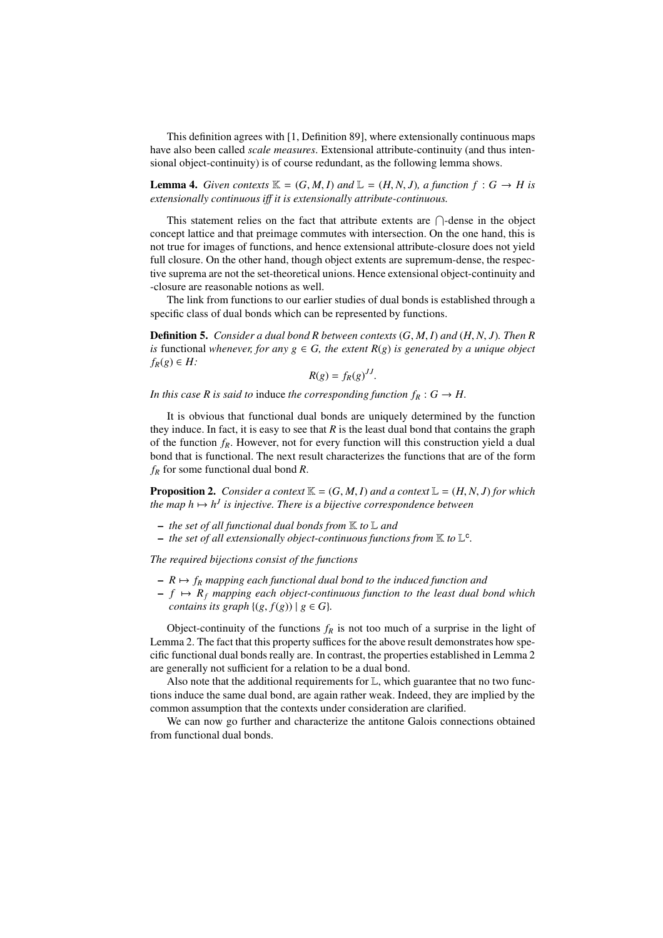This definition agrees with [1, Definition 89], where extensionally continuous maps have also been called *scale measures*. Extensional attribute-continuity (and thus intensional object-continuity) is of course redundant, as the following lemma shows.

**Lemma 4.** Given contexts  $K = (G, M, I)$  and  $L = (H, N, J)$ , a function  $f : G \rightarrow H$  is *extensionally continuous i*ff *it is extensionally attribute-continuous.*

This statement relies on the fact that attribute extents are  $\bigcap$ -dense in the object concept lattice and that preimage commutes with intersection. On the one hand, this is not true for images of functions, and hence extensional attribute-closure does not yield full closure. On the other hand, though object extents are supremum-dense, the respective suprema are not the set-theoretical unions. Hence extensional object-continuity and -closure are reasonable notions as well.

The link from functions to our earlier studies of dual bonds is established through a specific class of dual bonds which can be represented by functions.

**Definition 5.** *Consider a dual bond R between contexts* (*G*, *M*, *I*) *and* (*H*, *N*, *J*)*. Then R is* functional *whenever, for any*  $g \in G$ *, the extent*  $R(g)$  *is generated by a unique object f<sub>R</sub>*(*g*) ∈ *H*:

$$
R(g) = f_R(g)^{JJ}.
$$

*In this case R is said to induce the corresponding function*  $f_R$  :  $G \rightarrow H$ .

It is obvious that functional dual bonds are uniquely determined by the function they induce. In fact, it is easy to see that  $R$  is the least dual bond that contains the graph of the function *fR*. However, not for every function will this construction yield a dual bond that is functional. The next result characterizes the functions that are of the form *f<sup>R</sup>* for some functional dual bond *R*.

**Proposition 2.** *Consider a context*  $K = (G, M, I)$  *and a context*  $L = (H, N, J)$  *for which the map h* 7→ *h J is injective. There is a bijective correspondence between*

- **–** *the set of all functional dual bonds from* K *to* L *and*
- **–** *the set of all extensionally object-continuous functions from* K *to* L c *.*

*The required bijections consist of the functions*

- $R \mapsto f_R$  *mapping each functional dual bond to the induced function and*
- $\rightarrow$  *f*  $\rightarrow$  *R*<sub>*f*</sub> *mapping each object-continuous function to the least dual bond which contains its graph*  $\{(g, f(g)) \mid g \in G\}.$

Object-continuity of the functions  $f_R$  is not too much of a surprise in the light of Lemma 2. The fact that this property suffices for the above result demonstrates how specific functional dual bonds really are. In contrast, the properties established in Lemma 2 are generally not sufficient for a relation to be a dual bond.

Also note that the additional requirements for  $\mathbb{L}$ , which guarantee that no two functions induce the same dual bond, are again rather weak. Indeed, they are implied by the common assumption that the contexts under consideration are clarified.

We can now go further and characterize the antitone Galois connections obtained from functional dual bonds.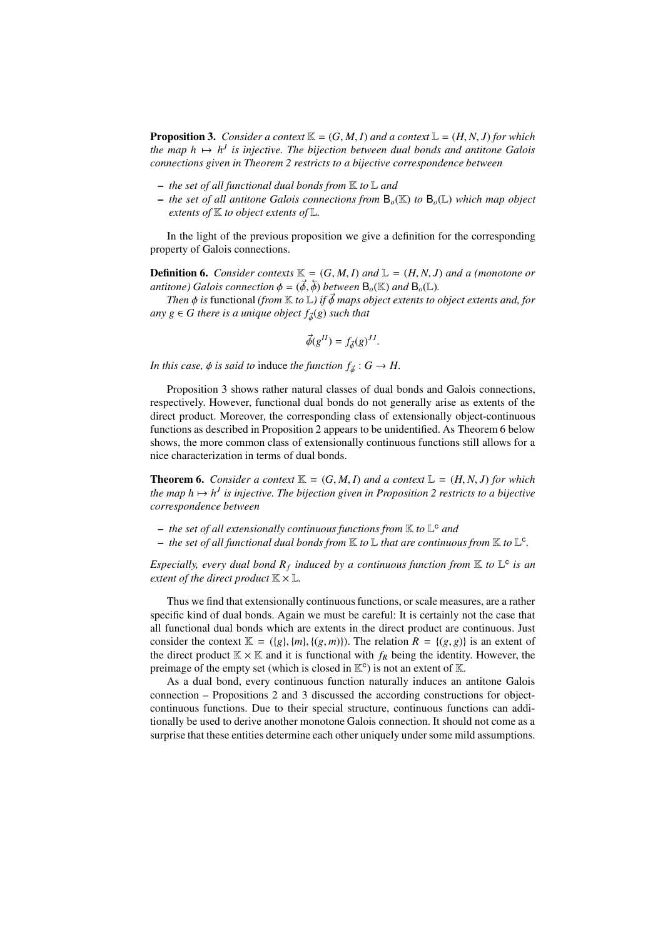**Proposition 3.** *Consider a context*  $\mathbb{K} = (G, M, I)$  *and a context*  $\mathbb{L} = (H, N, J)$  *for which the* map  $h \mapsto h^J$  is injective. The bijection between dual bonds and antitone Galois *connections given in Theorem 2 restricts to a bijective correspondence between*

- **–** *the set of all functional dual bonds from* K *to* L *and*
- **–** *the set of all antitone Galois connections from* B*o*(K) *to* B*o*(L) *which map object extents of* K *to object extents of* L*.*

In the light of the previous proposition we give a definition for the corresponding property of Galois connections.

**Definition 6.** *Consider contexts*  $K = (G, M, I)$  *and*  $L = (H, N, J)$  *and a (monotone or*) *antitone*) *Galois connection*  $\phi = (\vec{\phi}, \vec{\phi})$  *between*  $B_o(\mathbb{K})$  *and*  $B_o(\mathbb{L})$ *.* 

*Then*  $\phi$  *is* functional *(from*  $\mathbb{K}$  *to*  $\mathbb{L}$ *) if*  $\vec{\phi}$  *maps object extents to object extents and, for*  $any \ g \in G$  *there is a unique object*  $f_{\vec{\phi}}(g)$  *such that* 

$$
\vec{\phi}(g^{II}) = f_{\vec{\phi}}(g)^{JJ}.
$$

*In this case,*  $\phi$  *is said to induce the function*  $f_{\phi}$  :  $G \rightarrow H$ .

Proposition 3 shows rather natural classes of dual bonds and Galois connections, respectively. However, functional dual bonds do not generally arise as extents of the direct product. Moreover, the corresponding class of extensionally object-continuous functions as described in Proposition 2 appears to be unidentified. As Theorem 6 below shows, the more common class of extensionally continuous functions still allows for a nice characterization in terms of dual bonds.

**Theorem 6.** *Consider a context*  $\mathbb{K} = (G, M, I)$  *and a context*  $\mathbb{L} = (H, N, J)$  *for which the map h*  $\mapsto$  *h*<sup> $J$ </sup> *is injective. The bijection given in Proposition 2 restricts to a bijective correspondence between*

- **–** *the set of all extensionally continuous functions from* K *to* L <sup>c</sup> *and*
- **–** *the set of all functional dual bonds from* K *to* L *that are continuous from* K *to* L c *.*

*Especially, every dual bond*  $R_f$  *induced by a continuous function from*  $\mathbb K$  *to*  $\mathbb L^c$  *is an extent of the direct product*  $K \times L$ *.* 

Thus we find that extensionally continuous functions, or scale measures, are a rather specific kind of dual bonds. Again we must be careful: It is certainly not the case that all functional dual bonds which are extents in the direct product are continuous. Just consider the context  $\mathbb{K} = (\{g\}, \{m\}, \{(g, m)\})$ . The relation  $R = \{(g, g)\}$  is an extent of the direct product  $K \times K$  and it is functional with  $f_R$  being the identity. However, the preimage of the empty set (which is closed in  $K^c$ ) is not an extent of K.

As a dual bond, every continuous function naturally induces an antitone Galois connection – Propositions 2 and 3 discussed the according constructions for objectcontinuous functions. Due to their special structure, continuous functions can additionally be used to derive another monotone Galois connection. It should not come as a surprise that these entities determine each other uniquely under some mild assumptions.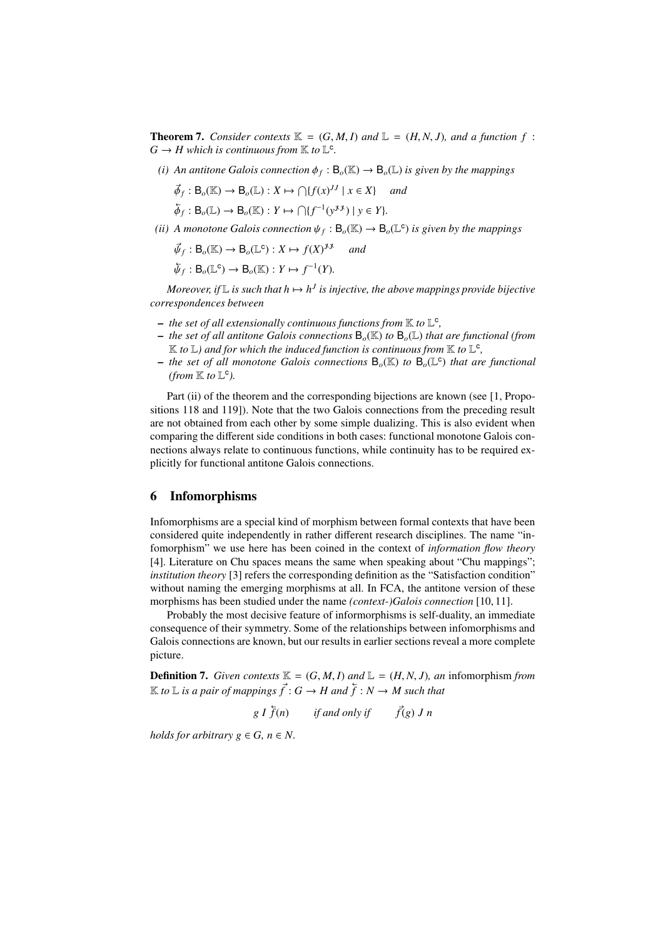**Theorem 7.** *Consider contexts*  $\mathbb{K} = (G, M, I)$  *and*  $\mathbb{L} = (H, N, J)$ *, and a function*  $f$ :  $G \to H$  *which is continuous from*  $\mathbb{K}$  *to*  $\mathbb{L}^c$ *.* 

*(i) An antitone Galois connection*  $\phi_f$ :  $B_o(\mathbb{K}) \to B_o(\mathbb{L})$  *is given by the mappings* 

$$
\vec{\phi}_f : \mathsf{B}_o(\mathbb{K}) \to \mathsf{B}_o(\mathbb{L}) : X \mapsto \bigcap \{ f(x)^{JJ} \mid x \in X \} \quad \text{and}
$$

$$
\overleftarrow{\phi}_f : \mathsf{B}_o(\mathbb{L}) \to \mathsf{B}_o(\mathbb{K}) : Y \mapsto \bigcap \{ f^{-1}(y^{x,y}) \mid y \in Y \}.
$$

*(ii) A monotone Galois connection*  $\psi_f$ :  $B_o(\mathbb{K}) \to B_o(\mathbb{L}^c)$  *is given by the mappings* 

$$
\vec{\psi}_f : \mathsf{B}_o(\mathbb{K}) \to \mathsf{B}_o(\mathbb{L}^c) : X \mapsto f(X)^{3/3} \quad \text{and}
$$

$$
\overleftarrow{\psi}_f: \mathsf{B}_o(\mathbb{L}^c) \to \mathsf{B}_o(\mathbb{K}): Y \mapsto f^{-1}(Y).
$$

*Moreover, if*  $\mathbb{L}$  *is such that*  $h \mapsto h^J$  *is injective, the above mappings provide bijective correspondences between*

- **–** *the set of all extensionally continuous functions from* K *to* L c *,*
- $-$  *the set of all antitone Galois connections*  $B_o(\mathbb{K})$  *to*  $B_o(\mathbb{L})$  *that are functional (from*  $\mathbb K$  *to*  $\mathbb L$ *)* and for which the induced function is continuous from  $\mathbb K$  to  $\mathbb L^{\mathsf{c}}$ ,
- **–** *the set of all monotone Galois connections* B*o*(K) *to* B*o*(L c ) *that are functional (from*  $\mathbb{K}$  *to*  $\mathbb{L}^c$ *).*

Part (ii) of the theorem and the corresponding bijections are known (see [1, Propositions 118 and 119]). Note that the two Galois connections from the preceding result are not obtained from each other by some simple dualizing. This is also evident when comparing the different side conditions in both cases: functional monotone Galois connections always relate to continuous functions, while continuity has to be required explicitly for functional antitone Galois connections.

#### **6 Infomorphisms**

Infomorphisms are a special kind of morphism between formal contexts that have been considered quite independently in rather different research disciplines. The name "infomorphism" we use here has been coined in the context of *information flow theory* [4]. Literature on Chu spaces means the same when speaking about "Chu mappings"; *institution theory* [3] refers the corresponding definition as the "Satisfaction condition" without naming the emerging morphisms at all. In FCA, the antitone version of these morphisms has been studied under the name *(context-)Galois connection* [10, 11].

Probably the most decisive feature of informorphisms is self-duality, an immediate consequence of their symmetry. Some of the relationships between infomorphisms and Galois connections are known, but our results in earlier sections reveal a more complete picture.

**Definition 7.** *Given contexts*  $\mathbb{K} = (G, M, I)$  *and*  $\mathbb{L} = (H, N, J)$ *, an* infomorphism *from*  $K$  *to*  $L$  *is a pair of mappings*  $\overrightarrow{f}$  :  $G \rightarrow H$  *and*  $\overleftarrow{f}$  :  $N \rightarrow M$  *such that* 

 $g I \overline{f}(n)$  *if* and only if  $f(g) J n$ 

*holds for arbitrary*  $g \in G$ *,*  $n \in N$ .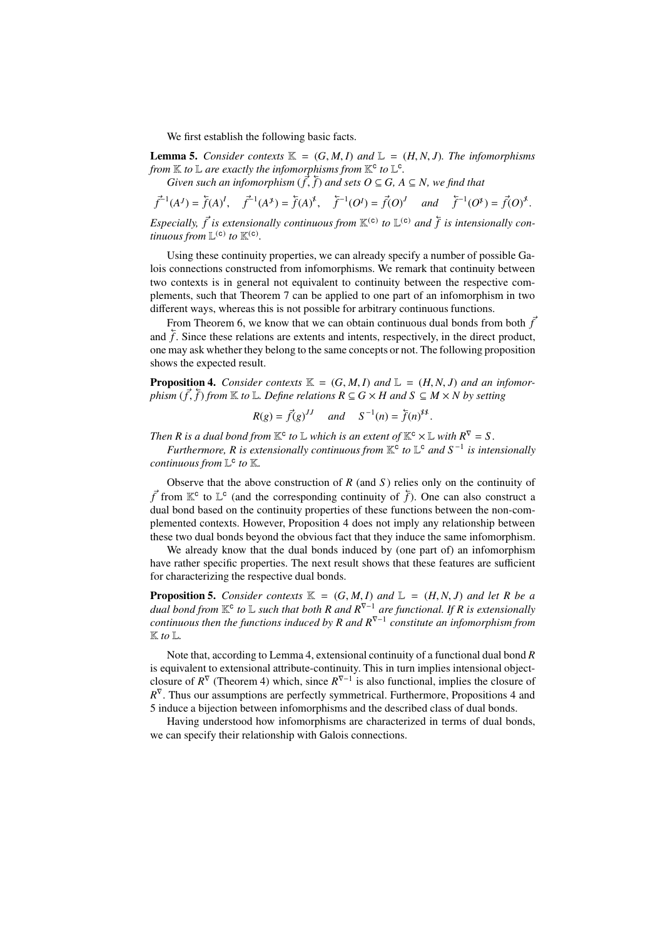We first establish the following basic facts.

**Lemma 5.** *Consider contexts*  $K = (G, M, I)$  *and*  $L = (H, N, J)$ *. The infomorphisms from*  $\mathbb{K}$  *to*  $\mathbb{L}$  *are exactly the infomorphisms from*  $\mathbb{K}^c$  *to*  $\mathbb{L}^c$ *.* 

*Given such an infomorphism*  $(\overrightarrow{f}, \overleftarrow{f})$  *and sets*  $O \subseteq G$ ,  $A \subseteq N$ , we find that

$$
\vec{f}^{-1}(A^J) = \vec{f}(A)^I
$$
,  $\vec{f}^{-1}(A^{\dot{x}}) = \vec{f}(A)^{\dot{x}}$ ,  $\vec{f}^{-1}(O^I) = \vec{f}(O)^J$  and  $\vec{f}^{-1}(O^{\dot{x}}) = \vec{f}(O)^{\dot{x}}$ .

*Especially,*  $\vec{f}$  *is extensionally continuous from*  $\mathbb{K}^{(c)}$  *to*  $\mathbb{L}^{(c)}$  *and*  $\overline{f}$  *is intensionally continuous from*  $\mathbb{L}^{(c)}$  *to*  $\mathbb{K}^{(c)}$ *.* 

Using these continuity properties, we can already specify a number of possible Galois connections constructed from infomorphisms. We remark that continuity between two contexts is in general not equivalent to continuity between the respective complements, such that Theorem 7 can be applied to one part of an infomorphism in two different ways, whereas this is not possible for arbitrary continuous functions.

From Theorem 6, we know that we can obtain continuous dual bonds from both  $\vec{f}$ and  $\tilde{f}$ . Since these relations are extents and intents, respectively, in the direct product, one may ask whether they belong to the same concepts or not. The following proposition shows the expected result.

**Proposition 4.** *Consider contexts*  $\mathbb{K} = (G, M, I)$  *and*  $\mathbb{L} = (H, N, J)$  *and an infomorphism*  $(\vec{f}, \vec{f})$  *from*  $\mathbb K$  *to*  $\mathbb L$ *. Define relations*  $R \subseteq G \times H$  *and*  $S \subseteq M \times N$  *by setting* 

$$
R(g) = \vec{f}(g)^{JJ} \quad \text{and} \quad S^{-1}(n) = \overleftarrow{f}(n)^{X}.
$$

*Then R is a dual bond from*  $K^c$  *to*  $L$  *which is an extent of*  $K^c \times L$  *with*  $R^{\nabla} = S$ .

*Furthermore, R is extensionally continuous from*  $\mathbb{K}^c$  *to*  $\mathbb{L}^c$  *and*  $S^{-1}$  *is intensionally continuous from*  $\mathbb{L}^c$  *to*  $\mathbb{K}$ *.* 

Observe that the above construction of *R* (and *S* ) relies only on the continuity of  $\vec{f}$  from  $\mathbb{K}^c$  to  $\mathbb{L}^c$  (and the corresponding continuity of  $\tilde{f}$ ). One can also construct a dual bond based on the continuity properties of these functions between the non-complemented contexts. However, Proposition 4 does not imply any relationship between these two dual bonds beyond the obvious fact that they induce the same infomorphism.

We already know that the dual bonds induced by (one part of) an infomorphism have rather specific properties. The next result shows that these features are sufficient for characterizing the respective dual bonds.

**Proposition 5.** *Consider contexts*  $K = (G, M, I)$  *and*  $L = (H, N, J)$  *and let R be a dual bond from* K c *to* L *such that both R and R* ∇−<sup>1</sup> *are functional. If R is extensionally continuous then the functions induced by R and R* ∇−1 *constitute an infomorphism from* K *to* L*.*

Note that, according to Lemma 4, extensional continuity of a functional dual bond *R* is equivalent to extensional attribute-continuity. This in turn implies intensional objectclosure of  $R^{\nabla}$  (Theorem 4) which, since  $R^{\nabla-1}$  is also functional, implies the closure of  $R^{\nabla}$ . Thus our assumptions are perfectly symmetrical. Furthermore, Propositions 4 and 5 induce a bijection between infomorphisms and the described class of dual bonds.

Having understood how infomorphisms are characterized in terms of dual bonds, we can specify their relationship with Galois connections.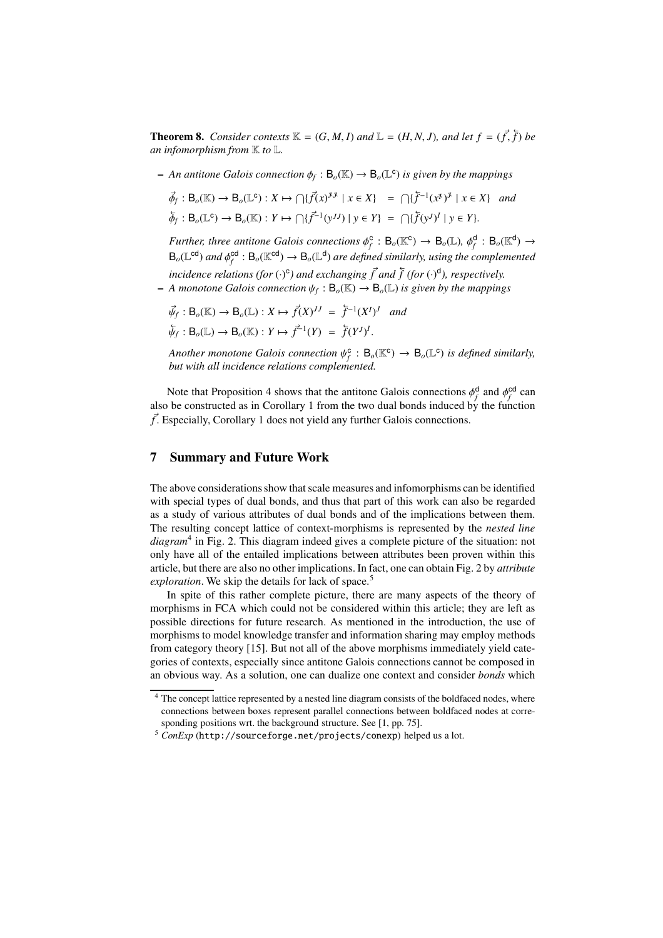**Theorem 8.** *Consider contexts*  $\mathbb{K} = (G, M, I)$  *and*  $\mathbb{L} = (H, N, J)$ *, and let*  $f = (\vec{f}, \vec{f})$  *be an infomorphism from* K *to* L*.*

 $\rightarrow$  *An antitone Galois connection*  $\phi_f$  :  $B_o(\mathbb{K}) \rightarrow B_o(\mathbb{L}^c)$  *is given by the mappings* 

$$
\vec{\phi}_f : \mathsf{B}_o(\mathbb{K}) \to \mathsf{B}_o(\mathbb{L}^c) : X \mapsto \bigcap \{ \vec{f}(x)^{x,y} \mid x \in X \} = \bigcap \{ \vec{f}^{-1}(x^x)^y \mid x \in X \} \text{ and}
$$
  

$$
\vec{\phi}_f : \mathsf{B}_o(\mathbb{L}^c) \to \mathsf{B}_o(\mathbb{K}) : Y \mapsto \bigcap \{ \vec{f}^{-1}(y^{JJ}) \mid y \in Y \} = \bigcap \{ \vec{f}(y^{J})^I \mid y \in Y \}.
$$

*Further, three antitone Galois connections*  $\phi_f^c : B_o(\mathbb{K}^c) \to B_o(\mathbb{L})$ ,  $\phi_f^d : B_o(\mathbb{K}^d) \to$  $B_o(\mathbb{L}^{cd})$  *and*  $\phi_f^{cd} : B_o(\mathbb{K}^{cd}) \to B_o(\mathbb{L}^d)$  *are defined similarly, using the complemented incidence relations (for*  $(\cdot)^{c}$ ) *and exchanging*  $\vec{f}$  *and*  $\tilde{f}$  (for  $(\cdot)^{d}$ ), *respectively.* 

- $\rightarrow$  *A monotone Galois connection*  $\psi_f$ :  $B_o(\mathbb{K}) \rightarrow B_o(\mathbb{L})$  *is given by the mappings* 
	- $\vec{\psi}_f : \mathsf{B}_o(\mathbb{K}) \to \mathsf{B}_o(\mathbb{L}) : X \mapsto \vec{f}(X)^{JJ} = \vec{f}^{-1}(X^I)^J$  and

$$
\overline{\psi}_f: \mathsf{B}_o(\mathbb{L}) \to \mathsf{B}_o(\mathbb{K}): Y \mapsto \overrightarrow{f}^{-1}(Y) = \overleftarrow{f}(Y^J)^I.
$$

*Another monotone Galois connection*  $\psi_f^c : B_o(\mathbb{K}^c) \to B_o(\mathbb{L}^c)$  *is defined similarly, but with all incidence relations complemented.*

Note that Proposition 4 shows that the antitone Galois connections  $\phi_f^d$  and  $\phi_f^{cd}$  can also be constructed as in Corollary 1 from the two dual bonds induced by the function  $\vec{f}$ . Especially, Corollary 1 does not yield any further Galois connections.

## **7 Summary and Future Work**

The above considerationsshow that scale measures and infomorphisms can be identified with special types of dual bonds, and thus that part of this work can also be regarded as a study of various attributes of dual bonds and of the implications between them. The resulting concept lattice of context-morphisms is represented by the *nested line diagram*<sup>4</sup> in Fig. 2. This diagram indeed gives a complete picture of the situation: not only have all of the entailed implications between attributes been proven within this article, but there are also no other implications. In fact, one can obtain Fig. 2 by *attribute exploration*. We skip the details for lack of space.<sup>5</sup>

In spite of this rather complete picture, there are many aspects of the theory of morphisms in FCA which could not be considered within this article; they are left as possible directions for future research. As mentioned in the introduction, the use of morphisms to model knowledge transfer and information sharing may employ methods from category theory [15]. But not all of the above morphisms immediately yield categories of contexts, especially since antitone Galois connections cannot be composed in an obvious way. As a solution, one can dualize one context and consider *bonds* which

<sup>&</sup>lt;sup>4</sup> The concept lattice represented by a nested line diagram consists of the boldfaced nodes, where connections between boxes represent parallel connections between boldfaced nodes at corresponding positions wrt. the background structure. See [1, pp. 75].

<sup>5</sup> *ConExp* (http://sourceforge.net/projects/conexp) helped us a lot.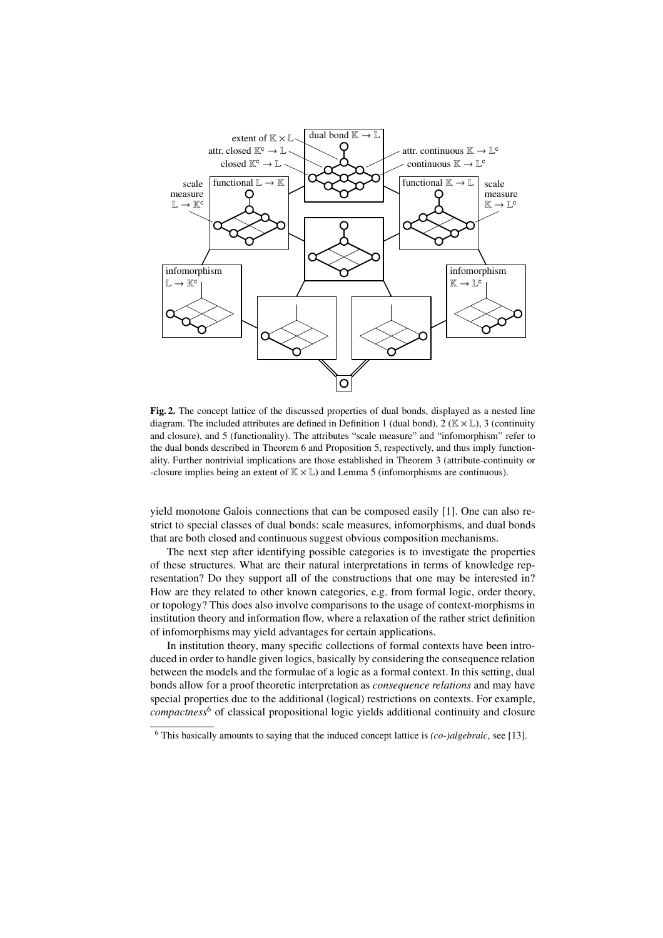

**Fig. 2.** The concept lattice of the discussed properties of dual bonds, displayed as a nested line diagram. The included attributes are defined in Definition 1 (dual bond), 2 ( $\mathbb{K} \times \mathbb{L}$ ), 3 (continuity and closure), and 5 (functionality). The attributes "scale measure" and "infomorphism" refer to the dual bonds described in Theorem 6 and Proposition 5, respectively, and thus imply functionality. Further nontrivial implications are those established in Theorem 3 (attribute-continuity or -closure implies being an extent of  $K \times L$ ) and Lemma 5 (infomorphisms are continuous).

yield monotone Galois connections that can be composed easily [1]. One can also restrict to special classes of dual bonds: scale measures, infomorphisms, and dual bonds that are both closed and continuous suggest obvious composition mechanisms.

The next step after identifying possible categories is to investigate the properties of these structures. What are their natural interpretations in terms of knowledge representation? Do they support all of the constructions that one may be interested in? How are they related to other known categories, e.g. from formal logic, order theory, or topology? This does also involve comparisons to the usage of context-morphisms in institution theory and information flow, where a relaxation of the rather strict definition of infomorphisms may yield advantages for certain applications.

In institution theory, many specific collections of formal contexts have been introduced in order to handle given logics, basically by considering the consequence relation between the models and the formulae of a logic as a formal context. In this setting, dual bonds allow for a proof theoretic interpretation as *consequence relations* and may have special properties due to the additional (logical) restrictions on contexts. For example, *compactness*<sup>6</sup> of classical propositional logic yields additional continuity and closure

<sup>6</sup> This basically amounts to saying that the induced concept lattice is *(co-)algebraic*, see [13].